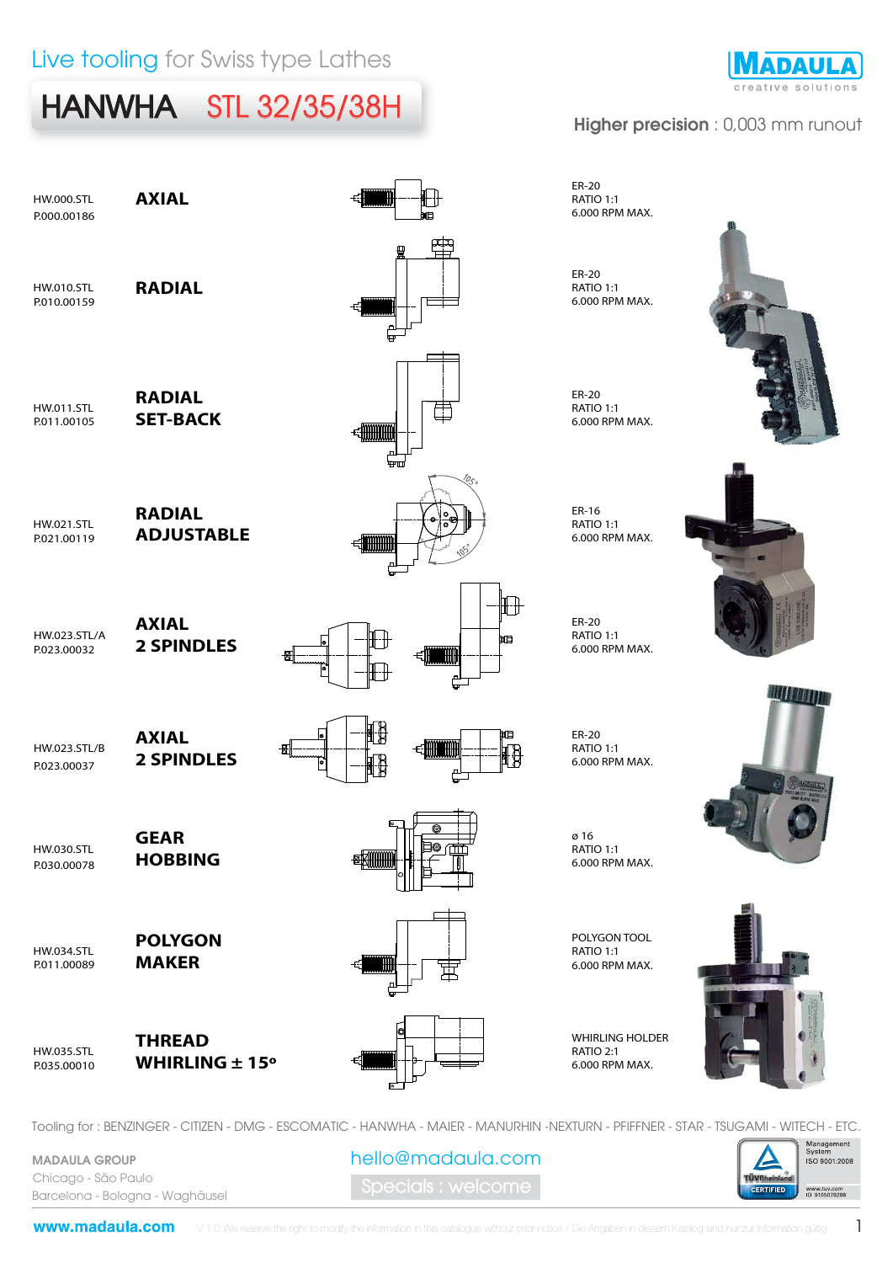# HANWHA STL 32/35/38H



#### Higher precision : 0,003 mm runout



Tooling for : BENZINGER - CITIZEN - DMG - ESCOMATIC - HANWHA - MAIER - MANURHIN -NEXTURN - PFIFFNER - STAR - TSUGAMI - WITECH - ETC.

hello@madaula.com

pecials : welcome

MADAULA GROUP Chicago - São Paulo Barcelona - Bologna - Waghäusel

www.madaula.com

1

Management<br>System **ISO 9001:2008** 

www.tuv.com<br>ID 9105079298

**ÜVRheinia CERTIFIED**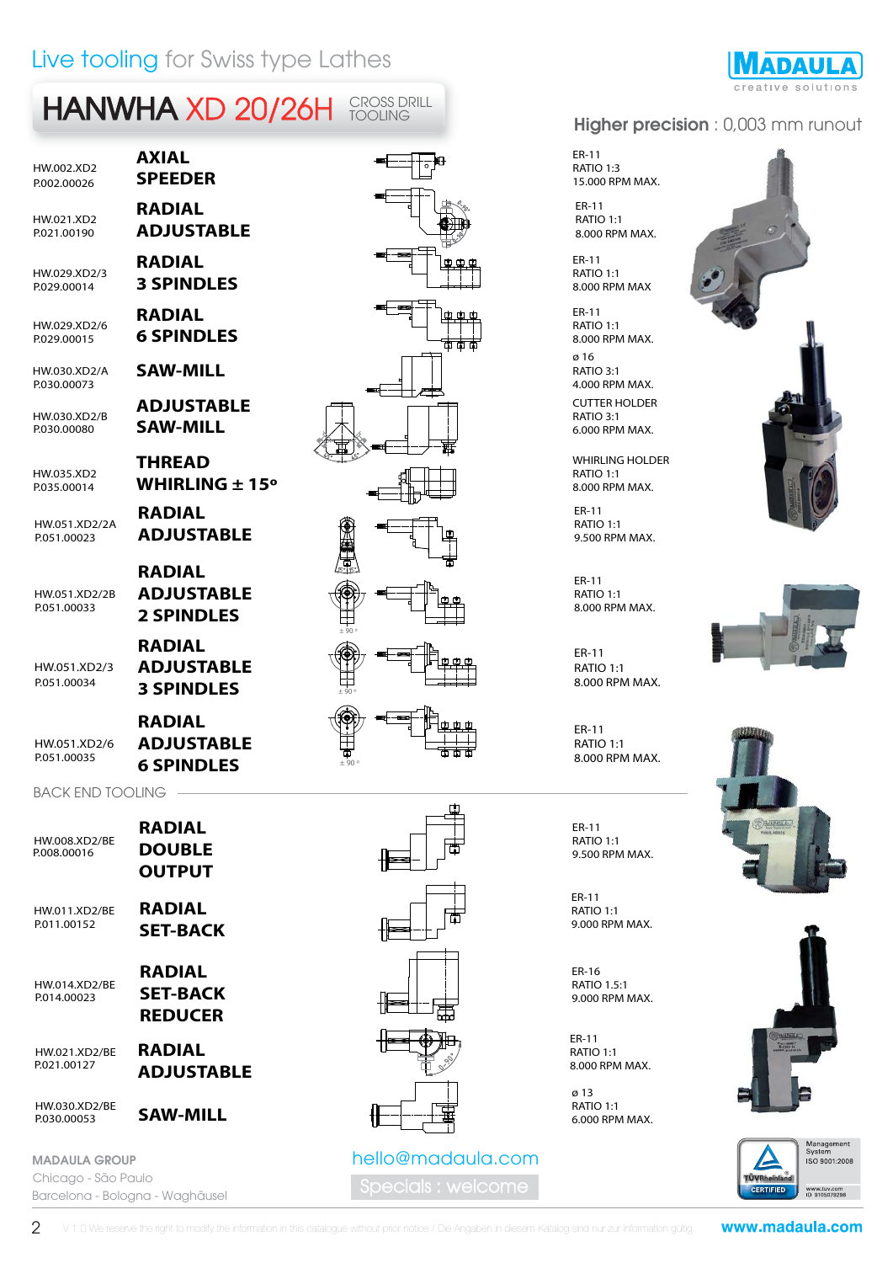#### Live tooling for Swiss type Lathes

# HANWHA XD 20/26H FOOLING

HW.002.XD2

HW.021.XD2

P.002.00026 **SPEEDER RADIAL RADIAL**

**3 SPINDLES**

**ADJUSTABLE**

**RADIAL**

**THREAD**

**RADIAL**

**RADIAL** 

**RADIAL** 

**AXIAL**

HW.029.XD2/3 P.029.00014

HW.029.XD2/6 P029.00015 **6 SPINDLES** 

HW.030.XD2/A **SAW-MILL**

HW.030.XD2/B P.030.00080 **SAW-MILL** 

HW035 YD2

HW.051.XD2/2A

HW.051.XD2/2B P.051.00033

HW.051.XD2/3 P.051.00034

HW.051.XD2/6

#### **3 SPINDLES RADIAL ADJUSTABLE 6 SPINDLES** P.051.00035

**ADJUSTABLE**

**ADJUSTABLE 2 SPINDLES**

#### BACK END TOOLING

| RADIAL<br><b>DOUBLE</b><br><b>OUTPUT</b>    | HW.008.XD2/RF<br>P.008.00016       |
|---------------------------------------------|------------------------------------|
| RADIAL<br><b>SET-BACK</b>                   | <b>HW.011.XD2/BE</b><br>P011.00152 |
| RADIAL<br><b>SET-BACK</b><br><b>REDUCER</b> | <b>HW.014.XD2/RF</b><br>P014.00023 |
| RADIAL<br><b>ADJUSTABLE</b>                 | HW.021.XD2/BE<br>P021.00127        |
| <b>SAW-MILL</b>                             | HW.030.XD2/BE<br>P.030.00053       |
|                                             |                                    |

MADAULA GROUP Chicago - São Paulo Barcelona - Bologna - Waghäusel









#### pecials : welcome hello@madaula.com

**ADAULA** 

#### Higher precision : 0,003 mm runout

ER-11 RATIO 1:3 15.000 RPM MAX.

ER-11 RATIO 1:1

ER-11 RATIO 1:1 8.000 RPM MAX

ER-11 RATIO 1:1 8.000 RPM MAX.

ø 16 RATIO 3:1 4.000 RPM MAX. CUTTER HOLDER

RATIO 3:1 6.000 RPM MAX.

WHIRLING HOLDER RATIO 1:1

ER-11 RATIO 1:1

ER-11 RATIO 1:1 8.000 RPM MAX.

ER-11 RATIO 1:1 8.000 RPM MAX.

ER-11 RATIO 1:1 8.000 RPM MAX.

ER-11 RATIO 1:1 9.500 RPM MAX.

ER-11 RATIO 1:1 P.011.00152 9.000 RPM MAX.

ER-16 RATIO 1.5:1 9.000 RPM MAX.

ER-11 RATIO 1:1 8.000 RPM MAX.

ø 13 RATIO 1:1 6.000 RPM MAX.











2 V 1.0 We reserve the right to modify the information in this catalogue without prior notice / Die Angaben in diesem Katalog sind nur zur Information gültig

www.madaula.com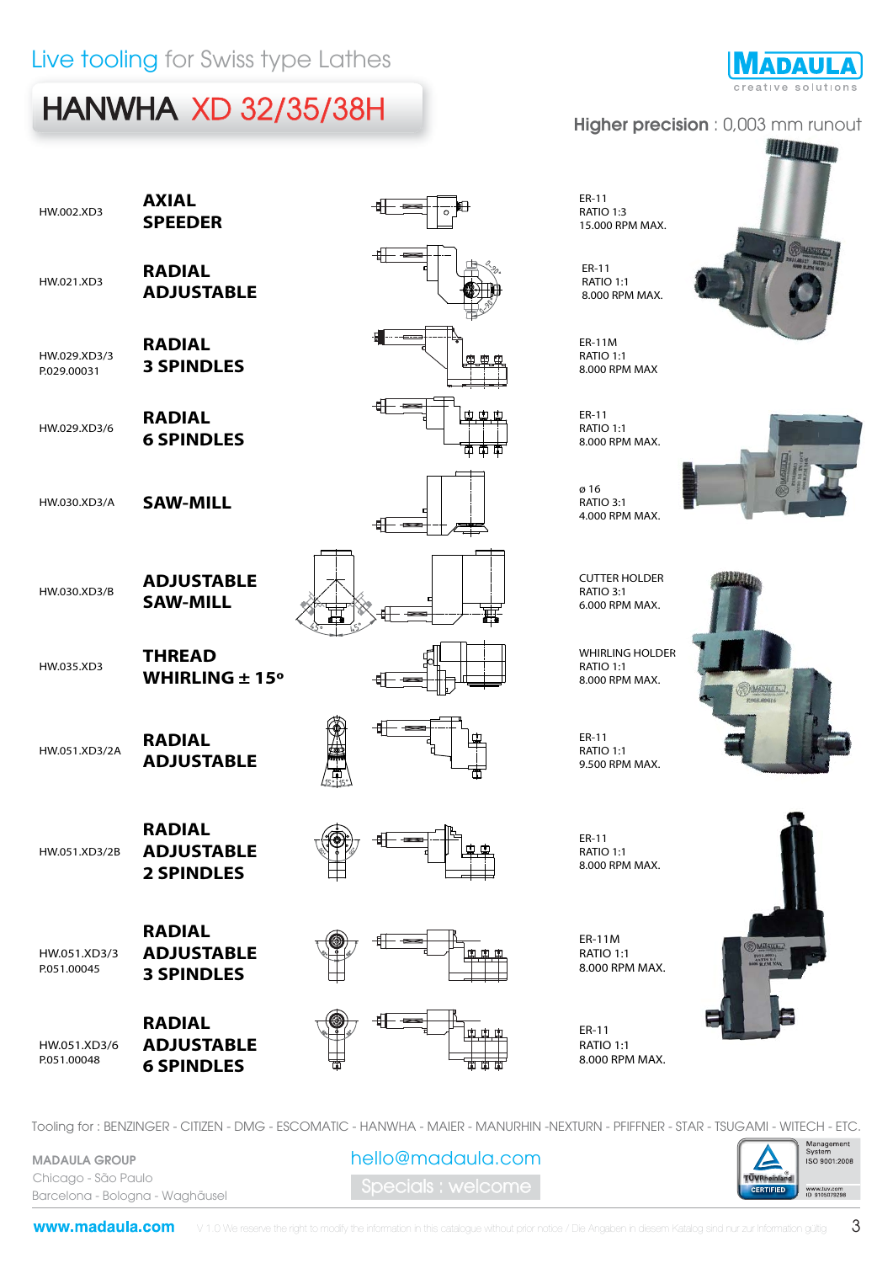### Live tooling for Swiss type Lathes

## HANWHA XD 32/35/38H



**WILD MANAGER** 

#### Higher precision : 0,003 mm runout

|                             | Live tooling for Swiss type Lathes                      |     |                                                              |
|-----------------------------|---------------------------------------------------------|-----|--------------------------------------------------------------|
|                             | <b>HANWHA XD 32/35/38H</b>                              |     | <b>Higher preci</b>                                          |
| HW.002.XD3                  | <b>AXIAL</b><br><b>SPEEDER</b>                          |     | ER-11<br>RATIO 1:3<br>15.000 RPM MAX.                        |
| HW.021.XD3                  | <b>RADIAL</b><br><b>ADJUSTABLE</b>                      |     | ER-11<br><b>RATIO 1:1</b><br>8.000 RPM MAX.                  |
| HW.029.XD3/3<br>P.029.00031 | <b>RADIAL</b><br><b>3 SPINDLES</b>                      |     | ER-11M<br>RATIO 1:1<br>8.000 RPM MAX                         |
| HW.029.XD3/6                | <b>RADIAL</b><br><b>6 SPINDLES</b>                      | œœœ | ER-11<br><b>RATIO 1:1</b><br>8.000 RPM MAX.                  |
| HW.030.XD3/A                | <b>SAW-MILL</b>                                         |     | ø 16<br>RATIO 3:1<br>4.000 RPM MAX.                          |
| HW.030.XD3/B                | <b>ADJUSTABLE</b><br><b>SAW-MILL</b>                    |     | <b>CUTTER HOLDER</b><br>RATIO 3:1<br>6.000 RPM MAX.          |
| HW.035.XD3                  | <b>THREAD</b><br><b>WHIRLING <math>\pm</math> 15°</b>   |     | <b>WHIRLING HOLDER</b><br><b>RATIO 1:1</b><br>8.000 RPM MAX. |
| HW.051.XD3/2A               | <b>RADIAL</b><br><b>ADJUSTABLE</b>                      |     | ER-11<br>RATIO <sub>1:1</sub><br>9.500 RPM MAX.              |
| HW.051.XD3/2B               | <b>RADIAL</b><br><b>ADJUSTABLE</b><br><b>2 SPINDLES</b> |     | ER-11<br><b>RATIO 1:1</b><br>8.000 RPM MAX.                  |
| HW.051.XD3/3<br>P.051.00045 | <b>RADIAL</b><br><b>ADJUSTABLE</b><br><b>3 SPINDLES</b> |     | <b>ER-11M</b><br><b>RATIO 1:1</b><br>8.000 RPM MAX.          |
| HW.051.XD3/6<br>P.051.00048 | <b>RADIAL</b><br><b>ADJUSTABLE</b><br><b>6 SPINDLES</b> | 面面  | ER-11<br><b>RATIO 1:1</b><br>8.000 RPM MAX.                  |









Tooling for : BENZINGER - CITIZEN - DMG - ESCOMATIC - HANWHA - MAIER - MANURHIN -NEXTURN - PFIFFNER - STAR - TSUGAMI - WITECH - ETC.

MADAULA GROUP Chicago - São Paulo Barcelona - Bologna - Waghäusel

pecials : welcome hello@madaula.com